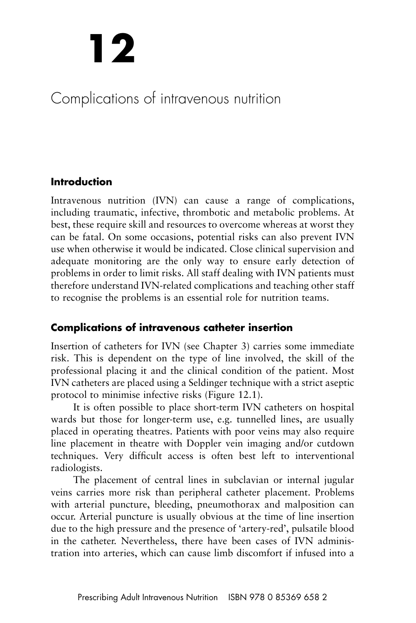# **12**

# Complications of intravenous nutrition

# **Introduction**

Intravenous nutrition (IVN) can cause a range of complications, including traumatic, infective, thrombotic and metabolic problems. At best, these require skill and resources to overcome whereas at worst they can be fatal. On some occasions, potential risks can also prevent IVN use when otherwise it would be indicated. Close clinical supervision and adequate monitoring are the only way to ensure early detection of problems in order to limit risks. All staff dealing with IVN patients must therefore understand IVN-related complications and teaching other staff to recognise the problems is an essential role for nutrition teams.

# **Complications of intravenous catheter insertion**

Insertion of catheters for IVN (see Chapter 3) carries some immediate risk. This is dependent on the type of line involved, the skill of the professional placing it and the clinical condition of the patient. Most IVN catheters are placed using a Seldinger technique with a strict aseptic protocol to minimise infective risks (Figure 12.1).

It is often possible to place short-term IVN catheters on hospital wards but those for longer-term use, e.g. tunnelled lines, are usually placed in operating theatres. Patients with poor veins may also require line placement in theatre with Doppler vein imaging and/or cutdown techniques. Very difficult access is often best left to interventional radiologists.

The placement of central lines in subclavian or internal jugular veins carries more risk than peripheral catheter placement. Problems with arterial puncture, bleeding, pneumothorax and malposition can occur. Arterial puncture is usually obvious at the time of line insertion due to the high pressure and the presence of 'artery-red', pulsatile blood in the catheter. Nevertheless, there have been cases of IVN administration into arteries, which can cause limb discomfort if infused into a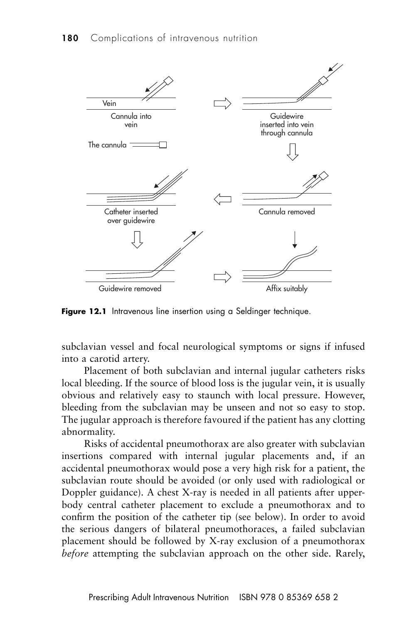

**Figure 12.1** Intravenous line insertion using a Seldinger technique.

subclavian vessel and focal neurological symptoms or signs if infused into a carotid artery.

Placement of both subclavian and internal jugular catheters risks local bleeding. If the source of blood loss is the jugular vein, it is usually obvious and relatively easy to staunch with local pressure. However, bleeding from the subclavian may be unseen and not so easy to stop. The jugular approach is therefore favoured if the patient has any clotting abnormality.

Risks of accidental pneumothorax are also greater with subclavian insertions compared with internal jugular placements and, if an accidental pneumothorax would pose a very high risk for a patient, the subclavian route should be avoided (or only used with radiological or Doppler guidance). A chest X-ray is needed in all patients after upperbody central catheter placement to exclude a pneumothorax and to confirm the position of the catheter tip (see below). In order to avoid the serious dangers of bilateral pneumothoraces, a failed subclavian placement should be followed by X-ray exclusion of a pneumothorax *before* attempting the subclavian approach on the other side. Rarely,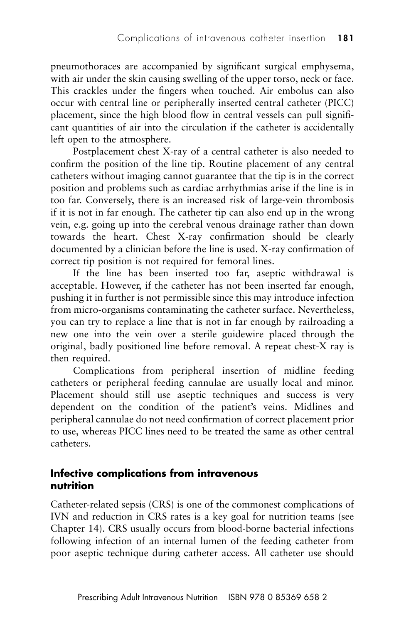pneumothoraces are accompanied by significant surgical emphysema, with air under the skin causing swelling of the upper torso, neck or face. This crackles under the fingers when touched. Air embolus can also occur with central line or peripherally inserted central catheter (PICC) placement, since the high blood flow in central vessels can pull significant quantities of air into the circulation if the catheter is accidentally left open to the atmosphere.

Postplacement chest X-ray of a central catheter is also needed to confirm the position of the line tip. Routine placement of any central catheters without imaging cannot guarantee that the tip is in the correct position and problems such as cardiac arrhythmias arise if the line is in too far. Conversely, there is an increased risk of large-vein thrombosis if it is not in far enough. The catheter tip can also end up in the wrong vein, e.g. going up into the cerebral venous drainage rather than down towards the heart. Chest X-ray confirmation should be clearly documented by a clinician before the line is used. X-ray confirmation of correct tip position is not required for femoral lines.

If the line has been inserted too far, aseptic withdrawal is acceptable. However, if the catheter has not been inserted far enough, pushing it in further is not permissible since this may introduce infection from micro-organisms contaminating the catheter surface. Nevertheless, you can try to replace a line that is not in far enough by railroading a new one into the vein over a sterile guidewire placed through the original, badly positioned line before removal. A repeat chest-X ray is then required.

Complications from peripheral insertion of midline feeding catheters or peripheral feeding cannulae are usually local and minor. Placement should still use aseptic techniques and success is very dependent on the condition of the patient's veins. Midlines and peripheral cannulae do not need confirmation of correct placement prior to use, whereas PICC lines need to be treated the same as other central catheters.

#### **Infective complications from intravenous nutrition**

Catheter-related sepsis (CRS) is one of the commonest complications of IVN and reduction in CRS rates is a key goal for nutrition teams (see Chapter 14). CRS usually occurs from blood-borne bacterial infections following infection of an internal lumen of the feeding catheter from poor aseptic technique during catheter access. All catheter use should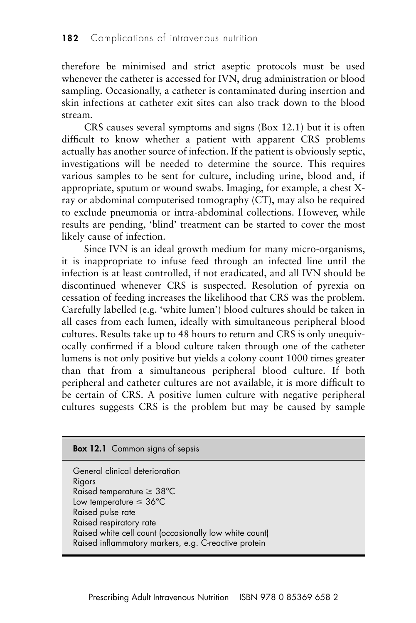therefore be minimised and strict aseptic protocols must be used whenever the catheter is accessed for IVN, drug administration or blood sampling. Occasionally, a catheter is contaminated during insertion and skin infections at catheter exit sites can also track down to the blood stream.

CRS causes several symptoms and signs (Box 12.1) but it is often difficult to know whether a patient with apparent CRS problems actually has another source of infection. If the patient is obviously septic, investigations will be needed to determine the source. This requires various samples to be sent for culture, including urine, blood and, if appropriate, sputum or wound swabs. Imaging, for example, a chest Xray or abdominal computerised tomography (CT), may also be required to exclude pneumonia or intra-abdominal collections. However, while results are pending, 'blind' treatment can be started to cover the most likely cause of infection.

Since IVN is an ideal growth medium for many micro-organisms, it is inappropriate to infuse feed through an infected line until the infection is at least controlled, if not eradicated, and all IVN should be discontinued whenever CRS is suspected. Resolution of pyrexia on cessation of feeding increases the likelihood that CRS was the problem. Carefully labelled (e.g. 'white lumen') blood cultures should be taken in all cases from each lumen, ideally with simultaneous peripheral blood cultures. Results take up to 48 hours to return and CRS is only unequivocally confirmed if a blood culture taken through one of the catheter lumens is not only positive but yields a colony count 1000 times greater than that from a simultaneous peripheral blood culture. If both peripheral and catheter cultures are not available, it is more difficult to be certain of CRS. A positive lumen culture with negative peripheral cultures suggests CRS is the problem but may be caused by sample

|  |  | <b>Box 12.1</b> Common signs of sepsis |  |  |
|--|--|----------------------------------------|--|--|
|--|--|----------------------------------------|--|--|

General clinical deterioration Rigors Raised temperature  $\geq 38^{\circ}$ C Low temperature  $\leq 36^{\circ}$ C Raised pulse rate Raised respiratory rate Raised white cell count (occasionally low white count) Raised inflammatory markers, e.g. C-reactive protein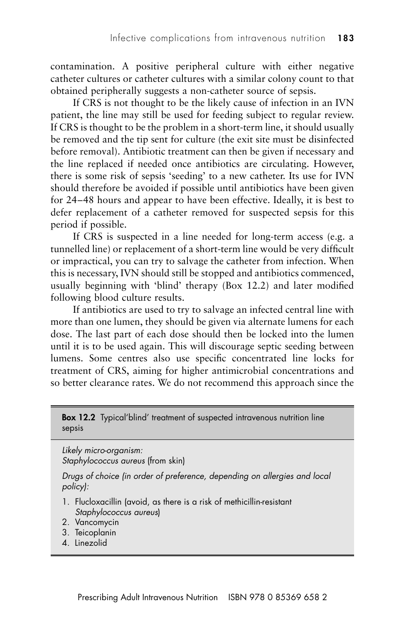contamination. A positive peripheral culture with either negative catheter cultures or catheter cultures with a similar colony count to that obtained peripherally suggests a non-catheter source of sepsis.

If CRS is not thought to be the likely cause of infection in an IVN patient, the line may still be used for feeding subject to regular review. If CRS is thought to be the problem in a short-term line, it should usually be removed and the tip sent for culture (the exit site must be disinfected before removal). Antibiotic treatment can then be given if necessary and the line replaced if needed once antibiotics are circulating. However, there is some risk of sepsis 'seeding' to a new catheter. Its use for IVN should therefore be avoided if possible until antibiotics have been given for 24–48 hours and appear to have been effective. Ideally, it is best to defer replacement of a catheter removed for suspected sepsis for this period if possible.

If CRS is suspected in a line needed for long-term access (e.g. a tunnelled line) or replacement of a short-term line would be very difficult or impractical, you can try to salvage the catheter from infection. When this is necessary, IVN should still be stopped and antibiotics commenced, usually beginning with 'blind' therapy (Box 12.2) and later modified following blood culture results.

If antibiotics are used to try to salvage an infected central line with more than one lumen, they should be given via alternate lumens for each dose. The last part of each dose should then be locked into the lumen until it is to be used again. This will discourage septic seeding between lumens. Some centres also use specific concentrated line locks for treatment of CRS, aiming for higher antimicrobial concentrations and so better clearance rates. We do not recommend this approach since the

**Box 12.2** Typical'blind' treatment of suspected intravenous nutrition line sepsis

*Likely micro-organism:*

*Staphylococcus aureus* (from skin)

*Drugs of choice (in order of preference, depending on allergies and local policy):*

- 1. Flucloxacillin (avoid, as there is a risk of methicillin-resistant *Staphylococcus aureus*)
- 2. Vancomycin
- 3. Teicoplanin
- 4. Linezolid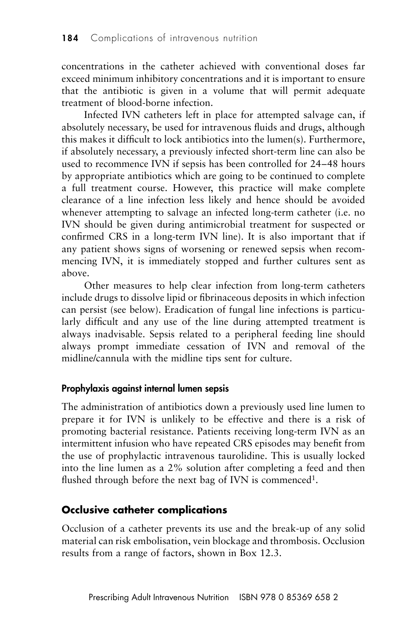concentrations in the catheter achieved with conventional doses far exceed minimum inhibitory concentrations and it is important to ensure that the antibiotic is given in a volume that will permit adequate treatment of blood-borne infection.

Infected IVN catheters left in place for attempted salvage can, if absolutely necessary, be used for intravenous fluids and drugs, although this makes it difficult to lock antibiotics into the lumen(s). Furthermore, if absolutely necessary, a previously infected short-term line can also be used to recommence IVN if sepsis has been controlled for 24–48 hours by appropriate antibiotics which are going to be continued to complete a full treatment course. However, this practice will make complete clearance of a line infection less likely and hence should be avoided whenever attempting to salvage an infected long-term catheter (i.e. no IVN should be given during antimicrobial treatment for suspected or confirmed CRS in a long-term IVN line). It is also important that if any patient shows signs of worsening or renewed sepsis when recommencing IVN, it is immediately stopped and further cultures sent as above.

Other measures to help clear infection from long-term catheters include drugs to dissolve lipid or fibrinaceous deposits in which infection can persist (see below). Eradication of fungal line infections is particularly difficult and any use of the line during attempted treatment is always inadvisable. Sepsis related to a peripheral feeding line should always prompt immediate cessation of IVN and removal of the midline/cannula with the midline tips sent for culture.

#### **Prophylaxis against internal lumen sepsis**

The administration of antibiotics down a previously used line lumen to prepare it for IVN is unlikely to be effective and there is a risk of promoting bacterial resistance. Patients receiving long-term IVN as an intermittent infusion who have repeated CRS episodes may benefit from the use of prophylactic intravenous taurolidine. This is usually locked into the line lumen as a 2% solution after completing a feed and then flushed through before the next bag of IVN is commenced<sup>1</sup>.

# **Occlusive catheter complications**

Occlusion of a catheter prevents its use and the break-up of any solid material can risk embolisation, vein blockage and thrombosis. Occlusion results from a range of factors, shown in Box 12.3.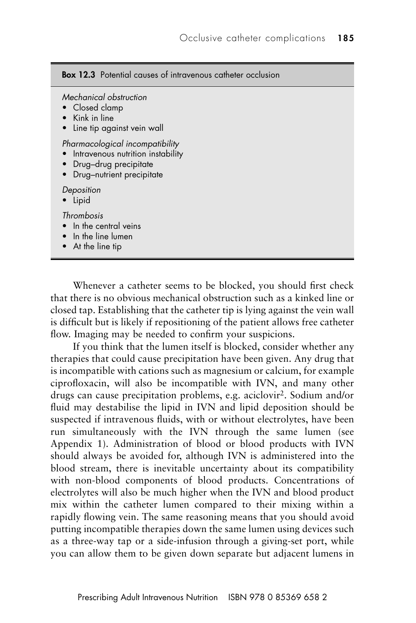| <b>Box 12.3</b> Potential causes of intravenous catheter occlusion |  |
|--------------------------------------------------------------------|--|
|--------------------------------------------------------------------|--|

*Mechanical obstruction*

- Closed clamp
- Kink in line
- Line tip against vein wall

*Pharmacological incompatibility*

- Intravenous nutrition instability
- Drug–drug precipitate
- Drug–nutrient precipitate

*Deposition*

• Lipid

*Thrombosis*

- In the central veins
- In the line lumen
- At the line tip

Whenever a catheter seems to be blocked, you should first check that there is no obvious mechanical obstruction such as a kinked line or closed tap. Establishing that the catheter tip is lying against the vein wall is difficult but is likely if repositioning of the patient allows free catheter flow. Imaging may be needed to confirm your suspicions.

If you think that the lumen itself is blocked, consider whether any therapies that could cause precipitation have been given. Any drug that is incompatible with cations such as magnesium or calcium, for example ciprofloxacin, will also be incompatible with IVN, and many other drugs can cause precipitation problems, e.g. aciclovir2. Sodium and/or fluid may destabilise the lipid in IVN and lipid deposition should be suspected if intravenous fluids, with or without electrolytes, have been run simultaneously with the IVN through the same lumen (see Appendix 1). Administration of blood or blood products with IVN should always be avoided for, although IVN is administered into the blood stream, there is inevitable uncertainty about its compatibility with non-blood components of blood products. Concentrations of electrolytes will also be much higher when the IVN and blood product mix within the catheter lumen compared to their mixing within a rapidly flowing vein. The same reasoning means that you should avoid putting incompatible therapies down the same lumen using devices such as a three-way tap or a side-infusion through a giving-set port, while you can allow them to be given down separate but adjacent lumens in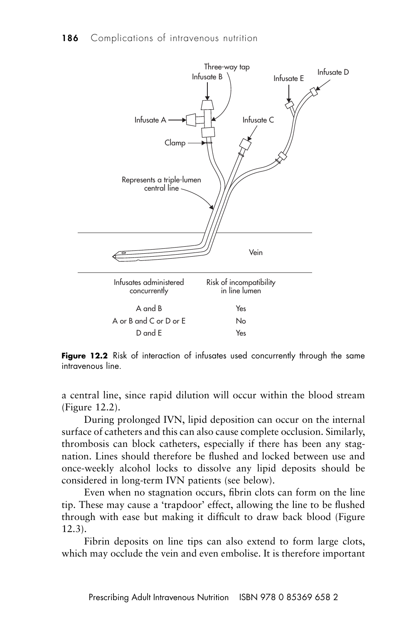

**Figure 12.2** Risk of interaction of infusates used concurrently through the same intravenous line.

a central line, since rapid dilution will occur within the blood stream (Figure 12.2).

During prolonged IVN, lipid deposition can occur on the internal surface of catheters and this can also cause complete occlusion. Similarly, thrombosis can block catheters, especially if there has been any stagnation. Lines should therefore be flushed and locked between use and once-weekly alcohol locks to dissolve any lipid deposits should be considered in long-term IVN patients (see below).

Even when no stagnation occurs, fibrin clots can form on the line tip. These may cause a 'trapdoor' effect, allowing the line to be flushed through with ease but making it difficult to draw back blood (Figure 12.3).

Fibrin deposits on line tips can also extend to form large clots, which may occlude the vein and even embolise. It is therefore important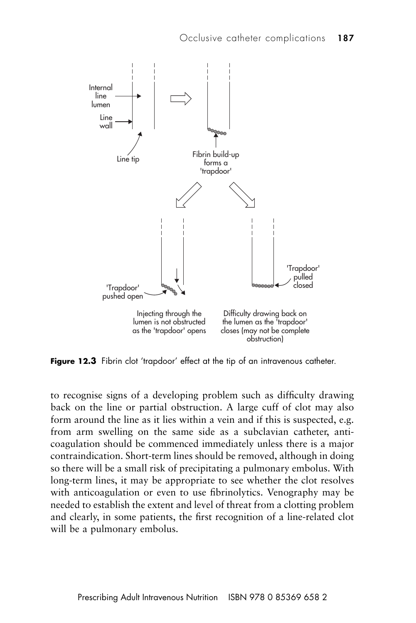

**Figure 12.3** Fibrin clot 'trapdoor' effect at the tip of an intravenous catheter.

to recognise signs of a developing problem such as difficulty drawing back on the line or partial obstruction. A large cuff of clot may also form around the line as it lies within a vein and if this is suspected, e.g. from arm swelling on the same side as a subclavian catheter, anticoagulation should be commenced immediately unless there is a major contraindication. Short-term lines should be removed, although in doing so there will be a small risk of precipitating a pulmonary embolus. With long-term lines, it may be appropriate to see whether the clot resolves with anticoagulation or even to use fibrinolytics. Venography may be needed to establish the extent and level of threat from a clotting problem and clearly, in some patients, the first recognition of a line-related clot will be a pulmonary embolus.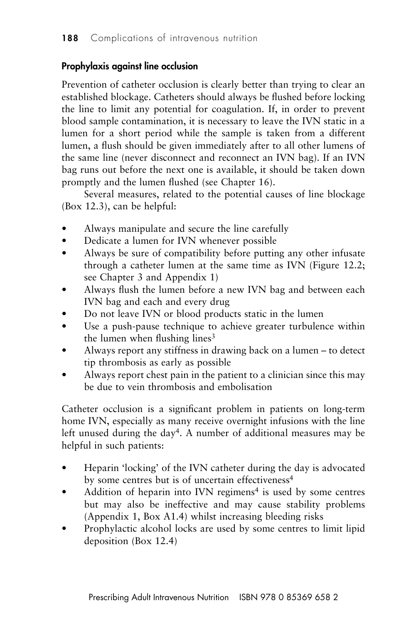#### **Prophylaxis against line occlusion**

Prevention of catheter occlusion is clearly better than trying to clear an established blockage. Catheters should always be flushed before locking the line to limit any potential for coagulation. If, in order to prevent blood sample contamination, it is necessary to leave the IVN static in a lumen for a short period while the sample is taken from a different lumen, a flush should be given immediately after to all other lumens of the same line (never disconnect and reconnect an IVN bag). If an IVN bag runs out before the next one is available, it should be taken down promptly and the lumen flushed (see Chapter 16).

Several measures, related to the potential causes of line blockage (Box 12.3), can be helpful:

- Always manipulate and secure the line carefully
- Dedicate a lumen for IVN whenever possible
- Always be sure of compatibility before putting any other infusate through a catheter lumen at the same time as IVN (Figure 12.2; see Chapter 3 and Appendix 1)
- Always flush the lumen before a new IVN bag and between each IVN bag and each and every drug
- Do not leave IVN or blood products static in the lumen
- Use a push-pause technique to achieve greater turbulence within the lumen when flushing lines $3$
- Always report any stiffness in drawing back on a lumen to detect tip thrombosis as early as possible
- Always report chest pain in the patient to a clinician since this may be due to vein thrombosis and embolisation

Catheter occlusion is a significant problem in patients on long-term home IVN, especially as many receive overnight infusions with the line left unused during the day<sup>4</sup>. A number of additional measures may be helpful in such patients:

- Heparin 'locking' of the IVN catheter during the day is advocated by some centres but is of uncertain effectiveness<sup>4</sup>
- Addition of heparin into IVN regimens $4$  is used by some centres but may also be ineffective and may cause stability problems (Appendix 1, Box A1.4) whilst increasing bleeding risks
- Prophylactic alcohol locks are used by some centres to limit lipid deposition (Box 12.4)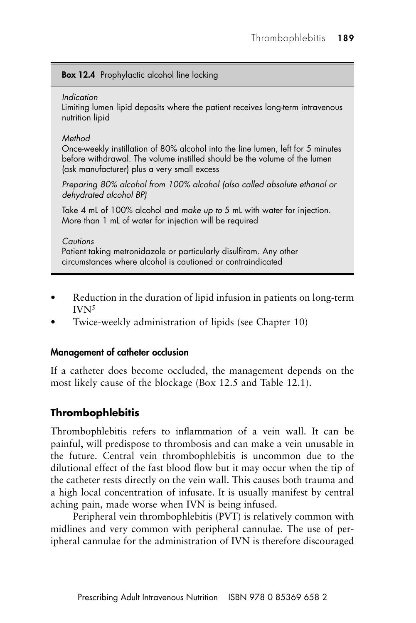#### **Box 12.4** Prophylactic alcohol line locking

#### *Indication*

Limiting lumen lipid deposits where the patient receives long-term intravenous nutrition lipid

#### *Method*

Once-weekly instillation of 80% alcohol into the line lumen, left for 5 minutes before withdrawal. The volume instilled should be the volume of the lumen (ask manufacturer) plus a very small excess

*Preparing 80% alcohol from 100% alcohol (also called absolute ethanol or dehydrated alcohol BP)*

Take 4 mL of 100% alcohol and *make up to* 5 mL with water for injection. More than 1 mL of water for injection will be required

*Cautions* Patient taking metronidazole or particularly disulfiram. Any other circumstances where alcohol is cautioned or contraindicated

- Reduction in the duration of lipid infusion in patients on long-term  $\text{IN}^5$
- Twice-weekly administration of lipids (see Chapter 10)

#### **Management of catheter occlusion**

If a catheter does become occluded, the management depends on the most likely cause of the blockage (Box 12.5 and Table 12.1).

# **Thrombophlebitis**

Thrombophlebitis refers to inflammation of a vein wall. It can be painful, will predispose to thrombosis and can make a vein unusable in the future. Central vein thrombophlebitis is uncommon due to the dilutional effect of the fast blood flow but it may occur when the tip of the catheter rests directly on the vein wall. This causes both trauma and a high local concentration of infusate. It is usually manifest by central aching pain, made worse when IVN is being infused.

Peripheral vein thrombophlebitis (PVT) is relatively common with midlines and very common with peripheral cannulae. The use of peripheral cannulae for the administration of IVN is therefore discouraged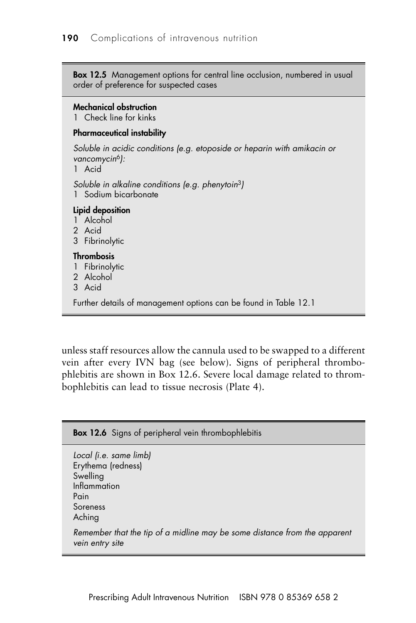**Box 12.5** Management options for central line occlusion, numbered in usual order of preference for suspected cases

#### **Mechanical obstruction**

1 Check line for kinks

#### **Pharmaceutical instability**

*Soluble in acidic conditions (e.g. etoposide or heparin with amikacin or vancomycin*<sup>6</sup>*):* 1 Acid *Soluble in alkaline conditions (e.g. phenytoin*<sup>3</sup>*)* 1 Sodium bicarbonate **Lipid deposition** 1 Alcohol 2 Acid 3 Fibrinolytic **Thrombosis** 1 Fibrinolytic 2 Alcohol 3 Acid Further details of management options can be found in Table 12.1

unless staff resources allow the cannula used to be swapped to a different vein after every IVN bag (see below). Signs of peripheral thrombophlebitis are shown in Box 12.6. Severe local damage related to thrombophlebitis can lead to tissue necrosis (Plate 4).

|  |  | Box 12.6 Signs of peripheral vein thrombophlebitis |  |  |  |
|--|--|----------------------------------------------------|--|--|--|
|--|--|----------------------------------------------------|--|--|--|

*Local (i.e. same limb)* Erythema (redness) Swelling Inflammation Pain Soreness Aching

*Remember that the tip of a midline may be some distance from the apparent vein entry site*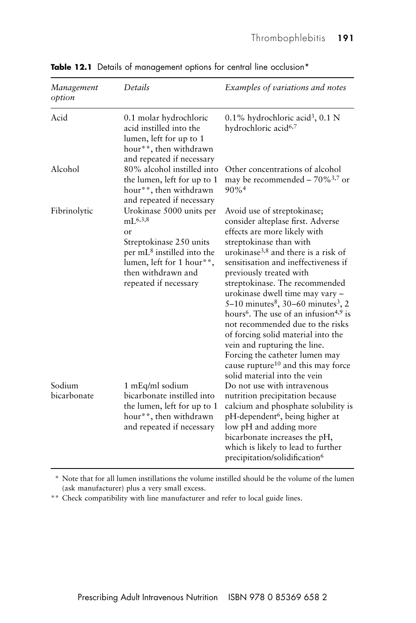| Management<br>option  | Details                                                                                                                                                                                         | Examples of variations and notes                                                                                                                                                                                                                                                                                                                                                                                                                                                                                                                                                                                                                                                    |
|-----------------------|-------------------------------------------------------------------------------------------------------------------------------------------------------------------------------------------------|-------------------------------------------------------------------------------------------------------------------------------------------------------------------------------------------------------------------------------------------------------------------------------------------------------------------------------------------------------------------------------------------------------------------------------------------------------------------------------------------------------------------------------------------------------------------------------------------------------------------------------------------------------------------------------------|
| Acid                  | 0.1 molar hydrochloric<br>acid instilled into the<br>lumen, left for up to 1<br>hour**, then withdrawn<br>and repeated if necessary                                                             | 0.1% hydrochloric acid <sup>3</sup> , 0.1 N<br>hydrochloric acid <sup>6,7</sup>                                                                                                                                                                                                                                                                                                                                                                                                                                                                                                                                                                                                     |
| Alcohol               | 80% alcohol instilled into<br>the lumen, left for up to 1<br>hour**, then withdrawn<br>and repeated if necessary                                                                                | Other concentrations of alcohol<br>may be recommended $-70\%$ <sup>3,7</sup> or<br>90% <sup>4</sup>                                                                                                                                                                                                                                                                                                                                                                                                                                                                                                                                                                                 |
| Fibrinolytic          | Urokinase 5000 units per<br>$mL^{6,3,8}$<br>or<br>Streptokinase 250 units<br>per mL <sup>8</sup> instilled into the<br>lumen, left for 1 hour**,<br>then withdrawn and<br>repeated if necessary | Avoid use of streptokinase;<br>consider alteplase first. Adverse<br>effects are more likely with<br>streptokinase than with<br>urokinase <sup>3,8</sup> and there is a risk of<br>sensitisation and ineffectiveness if<br>previously treated with<br>streptokinase. The recommended<br>urokinase dwell time may vary -<br>5-10 minutes <sup>8</sup> , 30-60 minutes <sup>3</sup> , 2<br>hours <sup>6</sup> . The use of an infusion <sup>4,9</sup> is<br>not recommended due to the risks<br>of forcing solid material into the<br>vein and rupturing the line.<br>Forcing the catheter lumen may<br>cause rupture <sup>10</sup> and this may force<br>solid material into the vein |
| Sodium<br>bicarbonate | 1 mEq/ml sodium<br>bicarbonate instilled into<br>the lumen, left for up to 1<br>hour**, then withdrawn<br>and repeated if necessary                                                             | Do not use with intravenous<br>nutrition precipitation because<br>calcium and phosphate solubility is<br>pH-dependent <sup>6</sup> , being higher at<br>low pH and adding more<br>bicarbonate increases the pH,<br>which is likely to lead to further<br>precipitation/solidification <sup>6</sup>                                                                                                                                                                                                                                                                                                                                                                                  |

Table 12.1 Details of management options for central line occlusion\*

\*\* Note that for all lumen instillations the volume instilled should be the volume of the lumen (ask manufacturer) plus a very small excess.

\*\* Check compatibility with line manufacturer and refer to local guide lines.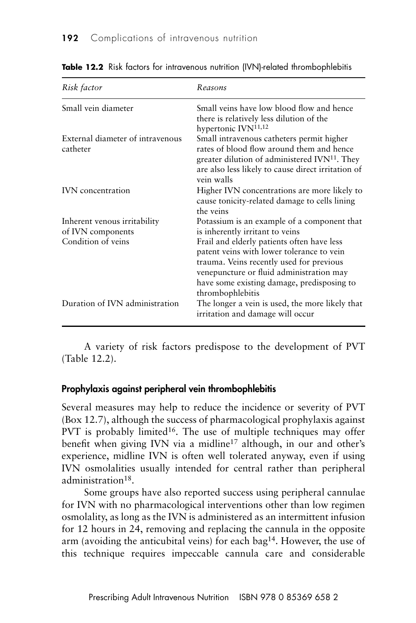| Risk factor                                                             | Reasons                                                                                                                                                                                                                                                                                                                             |
|-------------------------------------------------------------------------|-------------------------------------------------------------------------------------------------------------------------------------------------------------------------------------------------------------------------------------------------------------------------------------------------------------------------------------|
| Small vein diameter                                                     | Small veins have low blood flow and hence<br>there is relatively less dilution of the<br>hypertonic IVN <sup>11,12</sup>                                                                                                                                                                                                            |
| External diameter of intravenous<br>catheter                            | Small intravenous catheters permit higher<br>rates of blood flow around them and hence<br>greater dilution of administered IVN <sup>11</sup> . They<br>are also less likely to cause direct irritation of<br>vein walls                                                                                                             |
| <b>IVN</b> concentration                                                | Higher IVN concentrations are more likely to<br>cause tonicity-related damage to cells lining<br>the veins                                                                                                                                                                                                                          |
| Inherent venous irritability<br>of IVN components<br>Condition of veins | Potassium is an example of a component that<br>is inherently irritant to veins<br>Frail and elderly patients often have less<br>patent veins with lower tolerance to vein<br>trauma. Veins recently used for previous<br>venepuncture or fluid administration may<br>have some existing damage, predisposing to<br>thrombophlebitis |
| Duration of IVN administration                                          | The longer a vein is used, the more likely that<br>irritation and damage will occur                                                                                                                                                                                                                                                 |

**Table 12.2** Risk factors for intravenous nutrition (IVN)-related thrombophlebitis

A variety of risk factors predispose to the development of PVT (Table 12.2).

# **Prophylaxis against peripheral vein thrombophlebitis**

Several measures may help to reduce the incidence or severity of PVT (Box 12.7), although the success of pharmacological prophylaxis against PVT is probably limited<sup>16</sup>. The use of multiple techniques may offer benefit when giving IVN via a midline<sup>17</sup> although, in our and other's experience, midline IVN is often well tolerated anyway, even if using IVN osmolalities usually intended for central rather than peripheral administration18.

Some groups have also reported success using peripheral cannulae for IVN with no pharmacological interventions other than low regimen osmolality, as long as the IVN is administered as an intermittent infusion for 12 hours in 24, removing and replacing the cannula in the opposite arm (avoiding the anticubital veins) for each bag<sup>14</sup>. However, the use of this technique requires impeccable cannula care and considerable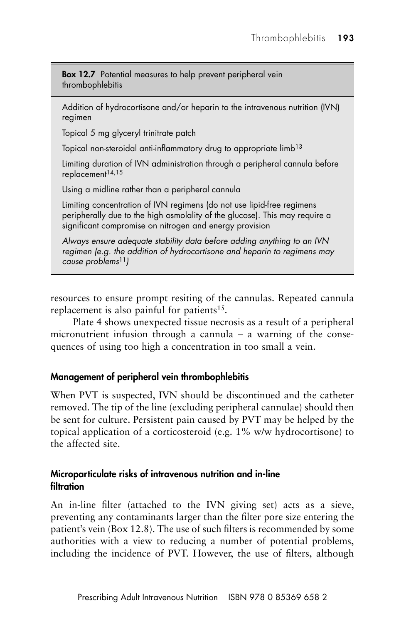**Box 12.7** Potential measures to help prevent peripheral vein thrombophlebitis

Addition of hydrocortisone and/or heparin to the intravenous nutrition (IVN) regimen

Topical 5 mg glyceryl trinitrate patch

Topical non-steroidal anti-inflammatory drug to appropriate limb<sup>13</sup>

Limiting duration of IVN administration through a peripheral cannula before replacement<sup>14,15</sup>

Using a midline rather than a peripheral cannula

Limiting concentration of IVN regimens (do not use lipid-free regimens peripherally due to the high osmolality of the glucose). This may require a significant compromise on nitrogen and energy provision

*Always ensure adequate stability data before adding anything to an IVN regimen (e.g. the addition of hydrocortisone and heparin to regimens may cause problems*<sup>11</sup>*)*

resources to ensure prompt resiting of the cannulas. Repeated cannula replacement is also painful for patients<sup>15</sup>.

Plate 4 shows unexpected tissue necrosis as a result of a peripheral micronutrient infusion through a cannula – a warning of the consequences of using too high a concentration in too small a vein.

#### **Management of peripheral vein thrombophlebitis**

When PVT is suspected, IVN should be discontinued and the catheter removed. The tip of the line (excluding peripheral cannulae) should then be sent for culture. Persistent pain caused by PVT may be helped by the topical application of a corticosteroid (e.g. 1% w/w hydrocortisone) to the affected site.

#### **Microparticulate risks of intravenous nutrition and in-line filtration**

An in-line filter (attached to the IVN giving set) acts as a sieve, preventing any contaminants larger than the filter pore size entering the patient's vein (Box 12.8). The use of such filters is recommended by some authorities with a view to reducing a number of potential problems, including the incidence of PVT. However, the use of filters, although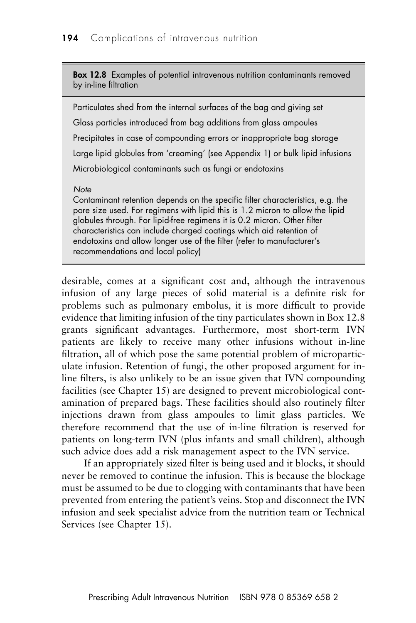**Box 12.8** Examples of potential intravenous nutrition contaminants removed by in-line filtration

Particulates shed from the internal surfaces of the bag and giving set Glass particles introduced from bag additions from glass ampoules Precipitates in case of compounding errors or inappropriate bag storage Large lipid globules from 'creaming' (see Appendix 1) or bulk lipid infusions Microbiological contaminants such as fungi or endotoxins

#### *Note*

Contaminant retention depends on the specific filter characteristics, e.g. the pore size used. For regimens with lipid this is 1.2 micron to allow the lipid globules through. For lipid-free regimens it is 0.2 micron. Other filter characteristics can include charged coatings which aid retention of endotoxins and allow longer use of the filter (refer to manufacturer's recommendations and local policy)

desirable, comes at a significant cost and, although the intravenous infusion of any large pieces of solid material is a definite risk for problems such as pulmonary embolus, it is more difficult to provide evidence that limiting infusion of the tiny particulates shown in Box 12.8 grants significant advantages. Furthermore, most short-term IVN patients are likely to receive many other infusions without in-line filtration, all of which pose the same potential problem of microparticulate infusion. Retention of fungi, the other proposed argument for inline filters, is also unlikely to be an issue given that IVN compounding facilities (see Chapter 15) are designed to prevent microbiological contamination of prepared bags. These facilities should also routinely filter injections drawn from glass ampoules to limit glass particles. We therefore recommend that the use of in-line filtration is reserved for patients on long-term IVN (plus infants and small children), although such advice does add a risk management aspect to the IVN service.

If an appropriately sized filter is being used and it blocks, it should never be removed to continue the infusion. This is because the blockage must be assumed to be due to clogging with contaminants that have been prevented from entering the patient's veins. Stop and disconnect the IVN infusion and seek specialist advice from the nutrition team or Technical Services (see Chapter 15).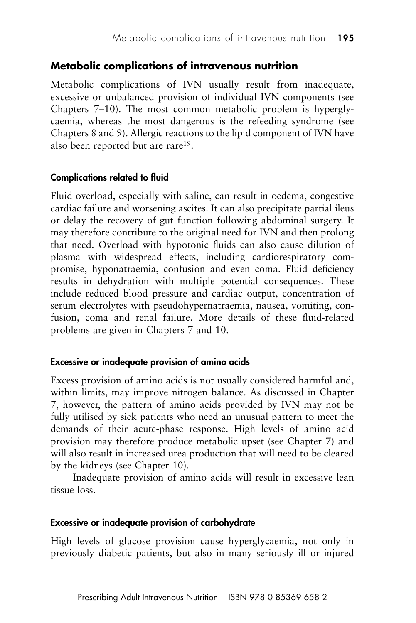# **Metabolic complications of intravenous nutrition**

Metabolic complications of IVN usually result from inadequate, excessive or unbalanced provision of individual IVN components (see Chapters 7–10). The most common metabolic problem is hyperglycaemia, whereas the most dangerous is the refeeding syndrome (see Chapters 8 and 9). Allergic reactions to the lipid component of IVN have also been reported but are rare19.

#### **Complications related to fluid**

Fluid overload, especially with saline, can result in oedema, congestive cardiac failure and worsening ascites. It can also precipitate partial ileus or delay the recovery of gut function following abdominal surgery. It may therefore contribute to the original need for IVN and then prolong that need. Overload with hypotonic fluids can also cause dilution of plasma with widespread effects, including cardiorespiratory compromise, hyponatraemia, confusion and even coma. Fluid deficiency results in dehydration with multiple potential consequences. These include reduced blood pressure and cardiac output, concentration of serum electrolytes with pseudohypernatraemia, nausea, vomiting, confusion, coma and renal failure. More details of these fluid-related problems are given in Chapters 7 and 10.

#### **Excessive or inadequate provision of amino acids**

Excess provision of amino acids is not usually considered harmful and, within limits, may improve nitrogen balance. As discussed in Chapter 7, however, the pattern of amino acids provided by IVN may not be fully utilised by sick patients who need an unusual pattern to meet the demands of their acute-phase response. High levels of amino acid provision may therefore produce metabolic upset (see Chapter 7) and will also result in increased urea production that will need to be cleared by the kidneys (see Chapter 10).

Inadequate provision of amino acids will result in excessive lean tissue loss.

#### **Excessive or inadequate provision of carbohydrate**

High levels of glucose provision cause hyperglycaemia, not only in previously diabetic patients, but also in many seriously ill or injured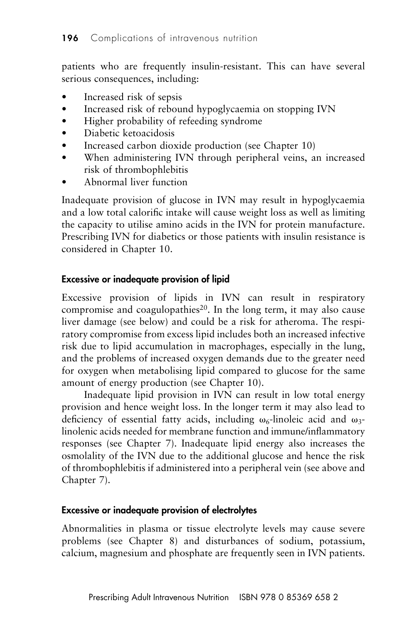patients who are frequently insulin-resistant. This can have several serious consequences, including:

- Increased risk of sepsis
- Increased risk of rebound hypoglycaemia on stopping IVN
- Higher probability of refeeding syndrome
- Diabetic ketoacidosis
- Increased carbon dioxide production (see Chapter 10)
- When administering IVN through peripheral veins, an increased risk of thrombophlebitis
- Abnormal liver function

Inadequate provision of glucose in IVN may result in hypoglycaemia and a low total calorific intake will cause weight loss as well as limiting the capacity to utilise amino acids in the IVN for protein manufacture. Prescribing IVN for diabetics or those patients with insulin resistance is considered in Chapter 10.

## **Excessive or inadequate provision of lipid**

Excessive provision of lipids in IVN can result in respiratory compromise and coagulopathies<sup>20</sup>. In the long term, it may also cause liver damage (see below) and could be a risk for atheroma. The respiratory compromise from excess lipid includes both an increased infective risk due to lipid accumulation in macrophages, especially in the lung, and the problems of increased oxygen demands due to the greater need for oxygen when metabolising lipid compared to glucose for the same amount of energy production (see Chapter 10).

Inadequate lipid provision in IVN can result in low total energy provision and hence weight loss. In the longer term it may also lead to deficiency of essential fatty acids, including  $\omega_6$ -linoleic acid and  $\omega_3$ linolenic acids needed for membrane function and immune/inflammatory responses (see Chapter 7). Inadequate lipid energy also increases the osmolality of the IVN due to the additional glucose and hence the risk of thrombophlebitis if administered into a peripheral vein (see above and Chapter 7).

#### **Excessive or inadequate provision of electrolytes**

Abnormalities in plasma or tissue electrolyte levels may cause severe problems (see Chapter 8) and disturbances of sodium, potassium, calcium, magnesium and phosphate are frequently seen in IVN patients.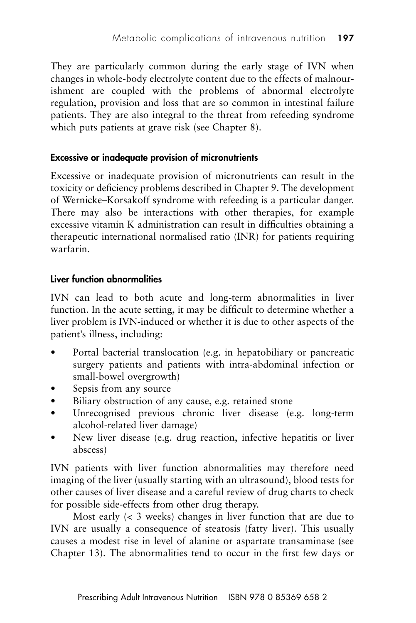They are particularly common during the early stage of IVN when changes in whole-body electrolyte content due to the effects of malnourishment are coupled with the problems of abnormal electrolyte regulation, provision and loss that are so common in intestinal failure patients. They are also integral to the threat from refeeding syndrome which puts patients at grave risk (see Chapter 8).

#### **Excessive or inadequate provision of micronutrients**

Excessive or inadequate provision of micronutrients can result in the toxicity or deficiency problems described in Chapter 9. The development of Wernicke–Korsakoff syndrome with refeeding is a particular danger. There may also be interactions with other therapies, for example excessive vitamin K administration can result in difficulties obtaining a therapeutic international normalised ratio (INR) for patients requiring warfarin.

## **Liver function abnormalities**

IVN can lead to both acute and long-term abnormalities in liver function. In the acute setting, it may be difficult to determine whether a liver problem is IVN-induced or whether it is due to other aspects of the patient's illness, including:

- Portal bacterial translocation (e.g. in hepatobiliary or pancreatic surgery patients and patients with intra-abdominal infection or small-bowel overgrowth)
- Sepsis from any source
- Biliary obstruction of any cause, e.g. retained stone
- Unrecognised previous chronic liver disease (e.g. long-term alcohol-related liver damage)
- New liver disease (e.g. drug reaction, infective hepatitis or liver abscess)

IVN patients with liver function abnormalities may therefore need imaging of the liver (usually starting with an ultrasound), blood tests for other causes of liver disease and a careful review of drug charts to check for possible side-effects from other drug therapy.

Most early (< 3 weeks) changes in liver function that are due to IVN are usually a consequence of steatosis (fatty liver). This usually causes a modest rise in level of alanine or aspartate transaminase (see Chapter 13). The abnormalities tend to occur in the first few days or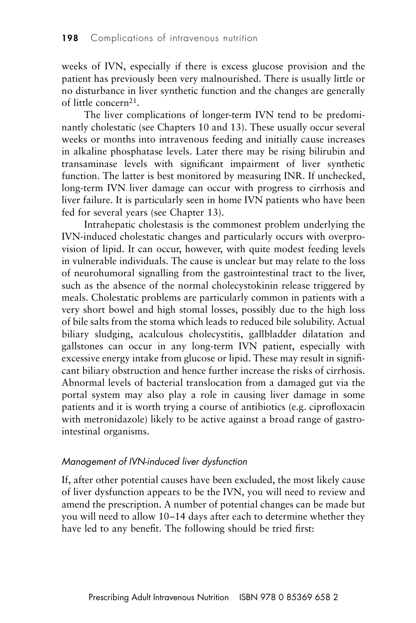weeks of IVN, especially if there is excess glucose provision and the patient has previously been very malnourished. There is usually little or no disturbance in liver synthetic function and the changes are generally of little concern21.

The liver complications of longer-term IVN tend to be predominantly cholestatic (see Chapters 10 and 13). These usually occur several weeks or months into intravenous feeding and initially cause increases in alkaline phosphatase levels. Later there may be rising bilirubin and transaminase levels with significant impairment of liver synthetic function. The latter is best monitored by measuring INR. If unchecked, long-term IVN liver damage can occur with progress to cirrhosis and liver failure. It is particularly seen in home IVN patients who have been fed for several years (see Chapter 13).

Intrahepatic cholestasis is the commonest problem underlying the IVN-induced cholestatic changes and particularly occurs with overprovision of lipid. It can occur, however, with quite modest feeding levels in vulnerable individuals. The cause is unclear but may relate to the loss of neurohumoral signalling from the gastrointestinal tract to the liver, such as the absence of the normal cholecystokinin release triggered by meals. Cholestatic problems are particularly common in patients with a very short bowel and high stomal losses, possibly due to the high loss of bile salts from the stoma which leads to reduced bile solubility. Actual biliary sludging, acalculous cholecystitis, gallbladder dilatation and gallstones can occur in any long-term IVN patient, especially with excessive energy intake from glucose or lipid. These may result in significant biliary obstruction and hence further increase the risks of cirrhosis. Abnormal levels of bacterial translocation from a damaged gut via the portal system may also play a role in causing liver damage in some patients and it is worth trying a course of antibiotics (e.g. ciprofloxacin with metronidazole) likely to be active against a broad range of gastrointestinal organisms.

#### *Management of IVN-induced liver dysfunction*

If, after other potential causes have been excluded, the most likely cause of liver dysfunction appears to be the IVN, you will need to review and amend the prescription. A number of potential changes can be made but you will need to allow 10–14 days after each to determine whether they have led to any benefit. The following should be tried first: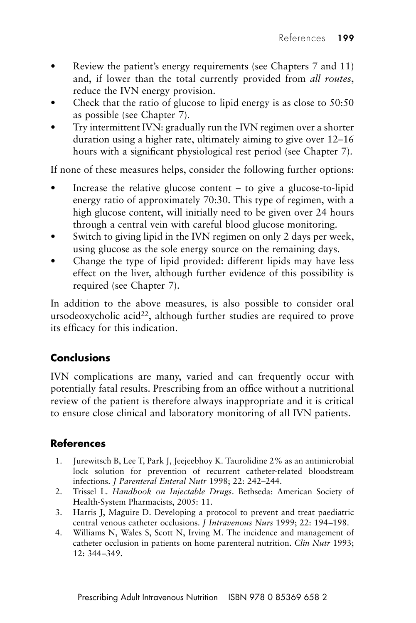- Review the patient's energy requirements (see Chapters 7 and 11) and, if lower than the total currently provided from *all routes*, reduce the IVN energy provision.
- Check that the ratio of glucose to lipid energy is as close to 50:50 as possible (see Chapter 7).
- Try intermittent IVN: gradually run the IVN regimen over a shorter duration using a higher rate, ultimately aiming to give over 12–16 hours with a significant physiological rest period (see Chapter 7).

If none of these measures helps, consider the following further options:

- Increase the relative glucose content  $-$  to give a glucose-to-lipid energy ratio of approximately 70:30. This type of regimen, with a high glucose content, will initially need to be given over 24 hours through a central vein with careful blood glucose monitoring.
- Switch to giving lipid in the IVN regimen on only 2 days per week, using glucose as the sole energy source on the remaining days.
- Change the type of lipid provided: different lipids may have less effect on the liver, although further evidence of this possibility is required (see Chapter 7).

In addition to the above measures, is also possible to consider oral ursodeoxycholic acid<sup>22</sup>, although further studies are required to prove its efficacy for this indication.

# **Conclusions**

IVN complications are many, varied and can frequently occur with potentially fatal results. Prescribing from an office without a nutritional review of the patient is therefore always inappropriate and it is critical to ensure close clinical and laboratory monitoring of all IVN patients.

# **References**

- 1. Jurewitsch B, Lee T, Park J, Jeejeebhoy K. Taurolidine 2% as an antimicrobial lock solution for prevention of recurrent catheter-related bloodstream infections. *J Parenteral Enteral Nutr* 1998; 22: 242–244.
- 2. Trissel L. *Handbook on Injectable Drugs*. Bethseda: American Society of Health-System Pharmacists, 2005: 11.
- 3. Harris J, Maguire D. Developing a protocol to prevent and treat paediatric central venous catheter occlusions. *J Intravenous Nurs* 1999; 22: 194–198.
- 4. Williams N, Wales S, Scott N, Irving M. The incidence and management of catheter occlusion in patients on home parenteral nutrition. *Clin Nutr* 1993; 12: 344–349.